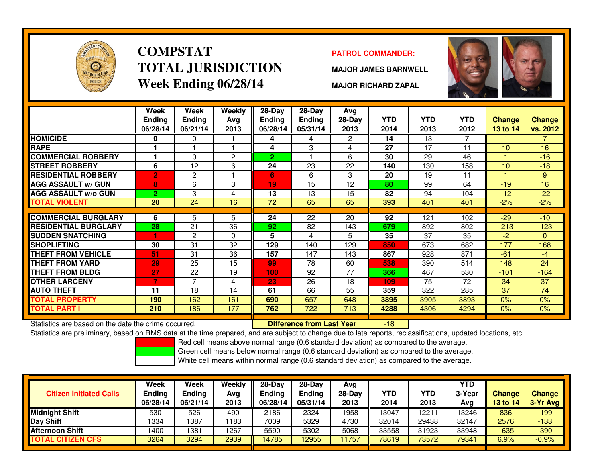

# **COMPSTATTOTAL JURISDICTIONWeek Ending 06/28/14**

#### **PATROL COMMANDER:**

**MAJOR JAMES BARNWELL**



**MAJOR RICHARD ZAPAL**

|                             | Week<br><b>Ending</b><br>06/28/14 | Week<br><b>Ending</b><br>06/21/14 | <b>Weekly</b><br>Avg<br>2013 | $28$ -Day<br>Ending<br>06/28/14 | $28 - Day$<br><b>Ending</b><br>05/31/14 | Avg<br>28-Day<br>2013 | <b>YTD</b><br>2014 | <b>YTD</b><br>2013 | <b>YTD</b><br>2012 | Change<br><b>13 to 14</b> | <b>Change</b><br>vs. 2012 |
|-----------------------------|-----------------------------------|-----------------------------------|------------------------------|---------------------------------|-----------------------------------------|-----------------------|--------------------|--------------------|--------------------|---------------------------|---------------------------|
| <b>HOMICIDE</b>             | 0                                 | 0                                 |                              | 4                               | 4                                       | $\mathbf{2}^{\circ}$  | 14                 | 13                 | 7                  |                           | 7.                        |
| <b>RAPE</b>                 |                                   |                                   |                              | 4                               | 3                                       | 4                     | 27                 | 17                 | 11                 | 10                        | 16                        |
| <b>COMMERCIAL ROBBERY</b>   |                                   | 0                                 | $\overline{c}$               | $\overline{2}$                  |                                         | 6                     | 30                 | 29                 | 46                 |                           | $-16$                     |
| <b>STREET ROBBERY</b>       | 6                                 | 12                                | 6                            | 24                              | 23                                      | 22                    | 140                | 130                | 158                | 10                        | $-18$                     |
| <b>RESIDENTIAL ROBBERY</b>  | $\overline{2}$                    | 2                                 |                              | 6                               | 6                                       | 3                     | 20                 | 19                 | 11                 |                           | 9                         |
| <b>AGG ASSAULT w/ GUN</b>   | 8                                 | 6                                 | 3                            | 19                              | 15                                      | 12                    | 80                 | 99                 | 64                 | $-19$                     | 16                        |
| <b>AGG ASSAULT w/o GUN</b>  | $\overline{2}$                    | 3                                 | 4                            | 13                              | 13                                      | 15                    | 82                 | 94                 | 104                | $-12$                     | $-22$                     |
| <b>TOTAL VIOLENT</b>        | 20                                | 24                                | 16                           | 72                              | 65                                      | 65                    | 393                | 401                | 401                | $-2%$                     | $-2%$                     |
|                             |                                   |                                   |                              |                                 |                                         |                       |                    |                    |                    |                           |                           |
| <b>COMMERCIAL BURGLARY</b>  | 6                                 | 5                                 | 5                            | 24                              | 22                                      | 20                    | 92                 | 121                | 102                | $-29$                     | $-10$                     |
| <b>RESIDENTIAL BURGLARY</b> | 28                                | 21                                | 36                           | 92                              | 82                                      | 143                   | 679                | 892                | 802                | $-213$                    | $-123$                    |
| <b>SUDDEN SNATCHING</b>     | 1                                 | $\overline{2}$                    | $\Omega$                     | 5                               | 4                                       | 5                     | 35                 | 37                 | 35                 | $-2$                      | $\overline{0}$            |
| <b>SHOPLIFTING</b>          | 30                                | 31                                | 32                           | 129                             | 140                                     | 129                   | 850                | 673                | 682                | 177                       | 168                       |
| <b>THEFT FROM VEHICLE</b>   | 51                                | 31                                | 36                           | 157                             | 147                                     | 143                   | 867                | 928                | 871                | $-61$                     | $-4$                      |
| THEFT FROM YARD             | 29                                | 25                                | 15                           | 99                              | 78                                      | 60                    | 538                | 390                | 514                | 148                       | 24                        |
| <b>THEFT FROM BLDG</b>      | 27                                | 22                                | 19                           | 100                             | 92                                      | 77                    | 366                | 467                | 530                | $-101$                    | $-164$                    |
| <b>OTHER LARCENY</b>        | 7                                 | 7                                 | 4                            | 23                              | 26                                      | 18                    | 109                | 75                 | 72                 | 34                        | 37                        |
| <b>AUTO THEFT</b>           | 11                                | 18                                | 14                           | 61                              | 66                                      | 55                    | 359                | 322                | 285                | 37                        | 74                        |
| <b>TOTAL PROPERTY</b>       | 190                               | 162                               | 161                          | 690                             | 657                                     | 648                   | 3895               | 3905               | 3893               | 0%                        | 0%                        |
| <b>TOTAL PART I</b>         | 210                               | 186                               | 177                          | 762                             | 722                                     | 713                   | 4288               | 4306               | 4294               | $0\%$                     | 0%                        |

Statistics are based on the date the crime occurred. **Difference from Last Year** 

Statistics are based on the date the crime occurred. **[19] Luident Luiden Confference from Last Year [19] Statistics are** based on the date trime occurred.<br>Statistics are preliminary, based on RMS data at the time prepared

Red cell means above normal range (0.6 standard deviation) as compared to the average.

Green cell means below normal range (0.6 standard deviation) as compared to the average.

| <b>Citizen Initiated Calls</b> | Week<br><b>Ending</b><br>06/28/14 | <b>Week</b><br><b>Ending</b><br>06/21/14 | Weekly<br>Avg<br>2013 | $28-Dav$<br><b>Endina</b><br>06/28/14 | $28-Dav$<br>Ending<br>05/31/14 | Avg<br>$28-Day$<br>2013 | <b>YTD</b><br>2014 | YTD<br>2013 | YTD<br>3-Year<br>Avg | <b>Change</b><br><b>13 to 14</b> | <b>Change</b><br>3-Yr Avg |
|--------------------------------|-----------------------------------|------------------------------------------|-----------------------|---------------------------------------|--------------------------------|-------------------------|--------------------|-------------|----------------------|----------------------------------|---------------------------|
| lMidniaht Shift                | 530                               | 526                                      | 490                   | 2186                                  | 2324                           | 1958                    | 13047              | 12211       | 13246                | 836                              | $-199$                    |
| Day Shift                      | 1334                              | 1387                                     | 1183                  | 7009                                  | 5329                           | 4730                    | 32014              | 29438       | 32147                | 2576                             | $-133$                    |
| <b>Afternoon Shift</b>         | 1400                              | 1381                                     | 1267                  | 5590                                  | 5302                           | 5068                    | 33558              | 31923       | 33948                | 1635                             | $-390$                    |
| <b>TOTAL CITIZEN CFS</b>       | 3264                              | 3294                                     | 2939                  | 14785                                 | 12955                          | 1757                    | 78619              | 73572       | 79341                | 6.9%                             | $-0.9%$                   |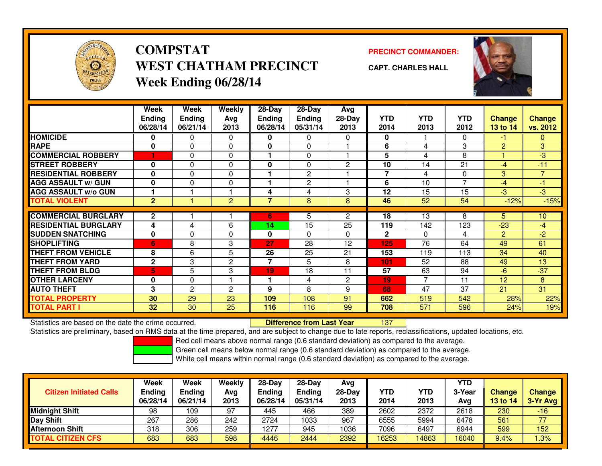

## **COMPSTATWEST CHATHAM PRECINCTWeek Ending 06/28/14**

**PRECINCT COMMANDER:**



**CAPT. CHARLES HALL**

|                             | Week<br><b>Ending</b><br>06/28/14 | Week<br><b>Ending</b><br>06/21/14 | Weekly<br>Avg<br>2013 | $28 - Day$<br><b>Ending</b><br>06/28/14 | $28 - Day$<br><b>Ending</b><br>05/31/14 | Avg<br>28-Day<br>2013 | <b>YTD</b><br>2014 | <b>YTD</b><br>2013 | <b>YTD</b><br>2012       | <b>Change</b><br>13 to 14 | <b>Change</b><br>vs. 2012 |
|-----------------------------|-----------------------------------|-----------------------------------|-----------------------|-----------------------------------------|-----------------------------------------|-----------------------|--------------------|--------------------|--------------------------|---------------------------|---------------------------|
| <b>HOMICIDE</b>             | 0                                 | 0                                 | 0                     | 0                                       | 0                                       | 0                     | 0                  |                    | 0                        | -1                        | $\mathbf{0}$              |
| <b>RAPE</b>                 | 0                                 | 0                                 | 0                     | 0                                       | 0                                       |                       | 6                  | 4                  | 3                        | 2                         | 3                         |
| <b>COMMERCIAL ROBBERY</b>   |                                   | $\Omega$                          | 0                     | 1                                       | 0                                       |                       | 5                  | 4                  | 8                        |                           | $-3$                      |
| <b>STREET ROBBERY</b>       | 0                                 | $\Omega$                          | $\Omega$              | 0                                       | 0                                       | 2                     | 10                 | 14                 | 21                       | $-4$                      | $-11$                     |
| <b>RESIDENTIAL ROBBERY</b>  | 0                                 | $\Omega$                          | 0                     |                                         | 2                                       |                       | 7                  | 4                  | 0                        | 3                         | 7                         |
| <b>AGG ASSAULT w/ GUN</b>   | 0                                 | $\Omega$                          | 0                     | 1                                       | $\overline{2}$                          |                       | 6                  | 10                 | $\overline{\phantom{a}}$ | $-4$                      | $-1$                      |
| <b>AGG ASSAULT w/o GUN</b>  |                                   |                                   |                       | 4                                       | 4                                       | 3                     | 12                 | 15                 | 15                       | $-3$                      | $-3$                      |
| <b>TOTAL VIOLENT</b>        | $\overline{2}$                    |                                   | $\overline{2}$        | $\overline{7}$                          | 8                                       | 8                     | 46                 | 52                 | 54                       | $-12%$                    | $-15%$                    |
|                             |                                   |                                   |                       |                                         |                                         |                       |                    |                    |                          |                           |                           |
| <b>COMMERCIAL BURGLARY</b>  | $\mathbf{2}$                      |                                   |                       | 6                                       | 5                                       | $\overline{2}$        | 18                 | 13                 | 8                        | 5                         | 10 <sup>°</sup>           |
| <b>RESIDENTIAL BURGLARY</b> | 4                                 | 4                                 | 6                     | 14                                      | 15                                      | 25                    | 119                | 142                | 123                      | $-23$                     | $-4$                      |
| <b>SUDDEN SNATCHING</b>     | 0                                 | $\Omega$                          | 0                     | 0                                       | 0                                       | 0                     | $\mathbf{2}$       | $\Omega$           | 4                        | 2                         | $-2$                      |
| <b>SHOPLIFTING</b>          | 6                                 | 8                                 | 3                     | 27                                      | 28                                      | 12                    | 125                | 76                 | 64                       | 49                        | 61                        |
| <b>THEFT FROM VEHICLE</b>   | 8                                 | 6                                 | 5                     | 26                                      | 25                                      | 21                    | 153                | 119                | 113                      | 34                        | 40                        |
| <b>THEFT FROM YARD</b>      | $\mathbf{2}$                      | 3                                 | $\overline{2}$        | $\overline{7}$                          | 5                                       | 8                     | 101                | 52                 | 88                       | 49                        | 13                        |
| <b>THEFT FROM BLDG</b>      | 5                                 | 5                                 | 3                     | 19                                      | 18                                      | 11                    | 57                 | 63                 | 94                       | $-6$                      | $-37$                     |
| <b>OTHER LARCENY</b>        | 0                                 | $\Omega$                          |                       | 1                                       | 4                                       | 2                     | 19                 | 7                  | 11                       | 12                        | 8                         |
| <b>AUTO THEFT</b>           | 3                                 | $\overline{2}$                    | $\overline{2}$        | 9                                       | 8                                       | 9                     | 68                 | 47                 | 37                       | 21                        | 31                        |
| <b>TOTAL PROPERTY</b>       | 30                                | 29                                | 23                    | 109                                     | 108                                     | 91                    | 662                | 519                | 542                      | 28%                       | 22%                       |
| TOTAL PART I                | 32                                | 30                                | 25                    | 116                                     | 116                                     | 99                    | 708                | 571                | 596                      | 24%                       | 19%                       |

Statistics are based on the date the crime occurred. **Difference from Last Year** 

<sup>137</sup>

Statistics are preliminary, based on RMS data at the time prepared, and are subject to change due to late reports, reclassifications, updated locations, etc.

Red cell means above normal range (0.6 standard deviation) as compared to the average.

Green cell means below normal range (0.6 standard deviation) as compared to the average.

| <b>Citizen Initiated Calls</b> | Week<br><b>Ending</b><br>06/28/14 | Week<br><b>Ending</b><br>06/21/14 | Weekly<br>Avg<br>2013 | $28-Day$<br><b>Ending</b><br>06/28/14 | $28-Dav$<br><b>Ending</b><br>05/31/14 | Avg<br>28-Day<br>2013 | YTD<br>2014 | YTD<br>2013 | <b>YTD</b><br>3-Year<br>Avg | <b>Change</b><br>13 to 14 | <b>Change</b><br>3-Yr Avg |
|--------------------------------|-----------------------------------|-----------------------------------|-----------------------|---------------------------------------|---------------------------------------|-----------------------|-------------|-------------|-----------------------------|---------------------------|---------------------------|
| <b>Midnight Shift</b>          | 98                                | 109                               | 97                    | 445                                   | 466                                   | 389                   | 2602        | 2372        | 2618                        | 230                       | -16                       |
| Day Shift                      | 267                               | 286                               | 242                   | 2724                                  | 1033                                  | 967                   | 6555        | 5994        | 6478                        | 561                       | 77                        |
| <b>Afternoon Shift</b>         | 318                               | 306                               | 259                   | 1277                                  | 945                                   | 1036                  | 7096        | 6497        | 6944                        | 599                       | 152                       |
| <b>TOTAL CITIZEN CFS</b>       | 683                               | 683                               | 598                   | 4446                                  | 2444                                  | 2392                  | 16253       | 14863       | 16040                       | 9.4%                      | .3%                       |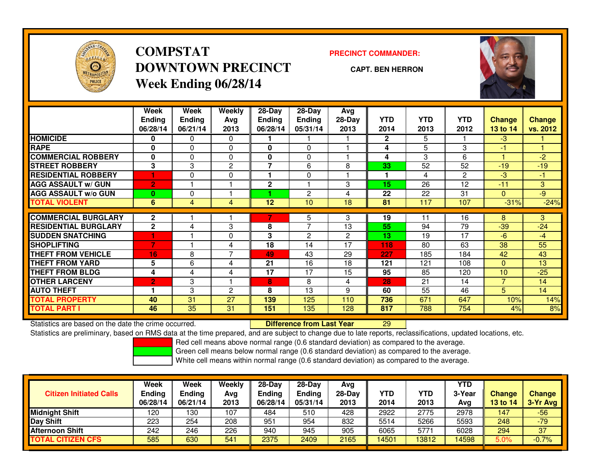

### **COMPSTATDOWNTOWN PRECINCTWeek Ending 06/28/14**

**PRECINCT COMMANDER:**

**CAPT. BEN HERRON**



|                             | Week           | Week          | Weekly         | $28-Day$      | $28-Day$       | Avg            |              |            |                |                 |               |
|-----------------------------|----------------|---------------|----------------|---------------|----------------|----------------|--------------|------------|----------------|-----------------|---------------|
|                             | <b>Ending</b>  | <b>Ending</b> | Avg            | <b>Ending</b> | <b>Ending</b>  | $28-Day$       | <b>YTD</b>   | <b>YTD</b> | <b>YTD</b>     | <b>Change</b>   | <b>Change</b> |
|                             | 06/28/14       | 06/21/14      | 2013           | 06/28/14      | 05/31/14       | 2013           | 2014         | 2013       | 2012           | <b>13 to 14</b> | vs. 2012      |
| <b>HOMICIDE</b>             | 0              | 0             | $\Omega$       |               |                |                | $\mathbf{2}$ | 5          |                | -3              |               |
| <b>RAPE</b>                 | 0              | 0             | 0              | 0             | 0              |                | 4            | 5          | 3              | -1              |               |
| <b>COMMERCIAL ROBBERY</b>   | 0              | $\Omega$      | $\Omega$       | 0             | 0              |                | 4            | 3          | 6              |                 | $-2$          |
| <b>STREET ROBBERY</b>       | 3              | 3             | $\overline{c}$ | 7             | 6              | 8              | 33           | 52         | 52             | $-19$           | $-19$         |
| <b>RESIDENTIAL ROBBERY</b>  |                | 0             | $\Omega$       | ٠             | 0              |                | 1            | 4          | $\overline{2}$ | -3              | $-1$          |
| <b>AGG ASSAULT w/ GUN</b>   | $\overline{2}$ |               |                | $\mathbf 2$   |                | 3              | 15           | 26         | 12             | $-11$           | 3             |
| <b>AGG ASSAULT w/o GUN</b>  | $\bf{0}$       | 0             |                |               | $\overline{2}$ | 4              | 22           | 22         | 31             | $\mathbf{0}$    | $-9$          |
| <b>TOTAL VIOLENT</b>        | 6              | 4             | 4              | 12            | 10             | 18             | 81           | 117        | 107            | $-31%$          | $-24%$        |
| <b>COMMERCIAL BURGLARY</b>  | $\mathbf{2}$   |               |                |               |                | 3              | 19           | 11         | 16             | 8               | 3             |
|                             |                |               |                |               | 5<br>7         |                |              |            |                |                 |               |
| <b>RESIDENTIAL BURGLARY</b> | $\overline{2}$ | 4             | 3              | 8             |                | 13             | 55           | 94         | 79             | $-39$           | $-24$         |
| <b>SUDDEN SNATCHING</b>     |                |               | 0              | 3             | $\overline{2}$ | $\overline{c}$ | 13           | 19         | 17             | $-6$            | $-4$          |
| <b>SHOPLIFTING</b>          | 7              |               | 4              | 18            | 14             | 17             | 118          | 80         | 63             | 38              | 55            |
| <b>THEFT FROM VEHICLE</b>   | 16             | 8             | $\overline{7}$ | 49            | 43             | 29             | 227          | 185        | 184            | 42              | 43            |
| <b>THEFT FROM YARD</b>      | 5              | 6             | 4              | 21            | 16             | 18             | 121          | 121        | 108            | $\Omega$        | 13            |
| <b>THEFT FROM BLDG</b>      | 4              | 4             | 4              | 17            | 17             | 15             | 95           | 85         | 120            | 10              | $-25$         |
| <b>OTHER LARCENY</b>        | י2             | 3             |                | 8             | 8              | 4              | 28           | 21         | 14             | $\overline{7}$  | 14            |
| <b>AUTO THEFT</b>           |                | 3             | $\overline{c}$ | 8             | 13             | 9              | 60           | 55         | 46             | 5               | 14            |
| <b>TOTAL PROPERTY</b>       | 40             | 31            | 27             | 139           | 125            | 110            | 736          | 671        | 647            | 10%             | 14%           |
| <b>TOTAL PART I</b>         | 46             | 35            | 31             | 151           | 135            | 128            | 817          | 788        | 754            | 4%              | 8%            |

Statistics are based on the date the crime occurred. **Difference from Last Year** 

<sup>29</sup>

Statistics are preliminary, based on RMS data at the time prepared, and are subject to change due to late reports, reclassifications, updated locations, etc.

Red cell means above normal range (0.6 standard deviation) as compared to the average.

Green cell means below normal range (0.6 standard deviation) as compared to the average.

| <b>Citizen Initiated Calls</b> | Week<br>Ending<br>06/28/14 | <b>Week</b><br><b>Ending</b><br>06/21/14 | Weekly<br>Avg<br>2013 | $28-Dav$<br>Ending<br>06/28/14 | $28-Dav$<br><b>Endina</b><br>05/31/14 | Avg<br>$28-Day$<br>2013 | YTD<br>2014 | YTD<br>2013 | YTD<br>3-Year<br>Avg | <b>Change</b><br>13 to 14 | <b>Change</b><br>3-Yr Avg |
|--------------------------------|----------------------------|------------------------------------------|-----------------------|--------------------------------|---------------------------------------|-------------------------|-------------|-------------|----------------------|---------------------------|---------------------------|
| <b>Midnight Shift</b>          | 120                        | 130                                      | 107                   | 484                            | 510                                   | 428                     | 2922        | 2775        | 2978                 | 147                       | $-56$                     |
| <b>Day Shift</b>               | 223                        | 254                                      | 208                   | 951                            | 954                                   | 832                     | 5514        | 5266        | 5593                 | 248                       | $-79$                     |
| <b>Afternoon Shift</b>         | 242                        | 246                                      | 226                   | 940                            | 945                                   | 905                     | 6065        | 5771        | 6028                 | 294                       | 37                        |
| TOTAL CITIZEN CFS              | 585                        | 630                                      | 541                   | 2375                           | 2409                                  | 2165                    | 4501        | 13812       | 14598                | 5.0%                      | $-0.7%$                   |

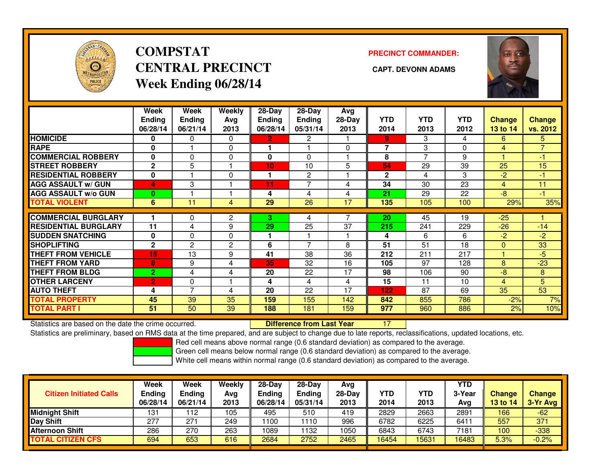

### **COMPSTATCENTRAL PRECINCT CAPT. DEVONN ADAMSWeek Ending 06/28/14**

**PRECINCT COMMANDER:**



|                             | Week           | Week           | Weekly   | $28$ -Day      | $28-Day$                 | Avg      |                |                |            |                |                |
|-----------------------------|----------------|----------------|----------|----------------|--------------------------|----------|----------------|----------------|------------|----------------|----------------|
|                             | <b>Ending</b>  | <b>Ending</b>  | Avg      | <b>Ending</b>  | <b>Ending</b>            | 28-Day   | <b>YTD</b>     | <b>YTD</b>     | <b>YTD</b> | <b>Change</b>  | <b>Change</b>  |
|                             | 06/28/14       | 06/21/14       | 2013     | 06/28/14       | 05/31/14                 | 2013     | 2014           | 2013           | 2012       | 13 to 14       | vs. 2012       |
| <b>HOMICIDE</b>             | 0              | 0              | 0        | $\overline{2}$ | 2                        |          | 9              | 3              | 4          | 6              | 5              |
| <b>RAPE</b>                 | $\bf{0}$       |                | $\Omega$ | 1              |                          | $\Omega$ | $\overline{7}$ | 3              | 0          | 4              | $\overline{7}$ |
| <b>COMMERCIAL ROBBERY</b>   | $\mathbf 0$    | 0              | 0        | 0              | 0                        |          | 8              | $\overline{7}$ | 9          |                | $-1$           |
| <b>STREET ROBBERY</b>       | $\mathbf{2}$   | 5              |          | 10             | 10                       | 5        | 54             | 29             | 39         | 25             | 15             |
| <b>RESIDENTIAL ROBBERY</b>  | $\bf{0}$       |                | 0        | 1              | 2                        |          | $\mathbf{2}$   | 4              | 3          | $-2$           | -1             |
| <b>AGG ASSAULT w/ GUN</b>   | 4              | 3              |          | 11             | $\overline{7}$           | 4        | 34             | 30             | 23         | 4              | 11             |
| <b>AGG ASSAULT w/o GUN</b>  | $\bf{0}$       |                |          | 4              | 4                        | 4        | 21             | 29             | 22         | -8             | $-1$           |
| <b>TOTAL VIOLENT</b>        | 6              | 11             | 4        | 29             | 26                       | 17       | 135            | 105            | 100        | 29%            | 35%            |
| <b>COMMERCIAL BURGLARY</b>  |                | 0              | 2        | 3.             | 4                        |          | 20             | 45             | 19         | $-25$          |                |
| <b>RESIDENTIAL BURGLARY</b> | 11             | 4              | 9        | 29             | 25                       | 37       | 215            | 241            | 229        | $-26$          | $-14$          |
| <b>SUDDEN SNATCHING</b>     | $\bf{0}$       | 0              | 0        | 1              |                          |          | 4              | 6              | 6          | $-2$           | $-2$           |
| <b>SHOPLIFTING</b>          | $\mathbf{2}$   | $\overline{2}$ | 2        | 6              | $\overline{\phantom{a}}$ | 8        | 51             | 51             | 18         | $\mathbf{0}$   | 33             |
| <b>THEFT FROM VEHICLE</b>   | 15             | 13             | 9        | 41             | 38                       | 36       | 212            | 211            | 217        |                | $-5$           |
| <b>THEFT FROM YARD</b>      | 8              | 9              | 4        | 35             | 32                       | 16       | 105            | 97             | 128        | 8              | $-23$          |
| <b>THEFT FROM BLDG</b>      | $\overline{2}$ | 4              | 4        | 20             | 22                       | 17       | 98             | 106            | 90         | $-8$           | 8              |
| <b>OTHER LARCENY</b>        | $\overline{2}$ | 0              |          | 4              | 4                        | 4        | 15             | 11             | 10         | $\overline{4}$ | 5              |
| <b>AUTO THEFT</b>           | 4              | 7              | 4        | 20             | 22                       | 17       | 122            | 87             | 69         | 35             | 53             |
| <b>TOTAL PROPERTY</b>       | 45             | 39             | 35       | 159            | 155                      | 142      | 842            | 855            | 786        | $-2%$          | 7%             |
| <b>TOTAL PART I</b>         | 51             | 50             | 39       | 188            | 181                      | 159      | 977            | 960            | 886        | 2%             | 10%            |

Statistics are based on the date the crime occurred. **Difference from Last Year** 

<sup>17</sup>

Statistics are preliminary, based on RMS data at the time prepared, and are subject to change due to late reports, reclassifications, updated locations, etc.

Red cell means above normal range (0.6 standard deviation) as compared to the average.

Green cell means below normal range (0.6 standard deviation) as compared to the average.

| <b>Midnight Shift</b><br>2663<br>105<br>2829<br>2891<br>131<br>495<br>112<br>510<br>419<br>166<br><b>Day Shift</b><br>6225<br>557<br>277<br>6782<br>249<br>1100<br>$27 -$<br>996<br>641<br>110 | <b>Citizen Initiated Calls</b> | Week<br>Ending<br>06/28/14 | <b>Week</b><br><b>Endina</b><br>06/21/14 | Weekly<br>Avg<br>2013 | $28-Dav$<br><b>Endina</b><br>06/28/14 | $28-Dav$<br><b>Ending</b><br>05/31/14 | Avg<br>28-Day<br>2013 | <b>YTD</b><br>2014 | <b>YTD</b><br>2013 | <b>YTD</b><br>3-Year<br>Avg | <b>Change</b><br>13 to 14 | Change<br>3-Yr Avg |
|------------------------------------------------------------------------------------------------------------------------------------------------------------------------------------------------|--------------------------------|----------------------------|------------------------------------------|-----------------------|---------------------------------------|---------------------------------------|-----------------------|--------------------|--------------------|-----------------------------|---------------------------|--------------------|
|                                                                                                                                                                                                |                                |                            |                                          |                       |                                       |                                       |                       |                    |                    |                             |                           | $-62$              |
|                                                                                                                                                                                                |                                |                            |                                          |                       |                                       |                                       |                       |                    |                    |                             |                           | 371                |
| 286<br>270<br>263<br>7181<br><b>Afternoon Shift</b><br>1089<br>132<br>1050<br>6743<br>6843<br>100                                                                                              |                                |                            |                                          |                       |                                       |                                       |                       |                    |                    |                             |                           | $-338$             |
| 616<br>2684<br>2752<br>5631<br>5.3%<br>2465<br>653<br>16454<br>16483<br>694<br><b>TOTAL CITIZEN CFS</b>                                                                                        |                                |                            |                                          |                       |                                       |                                       |                       |                    |                    |                             |                           | $-0.2%$            |

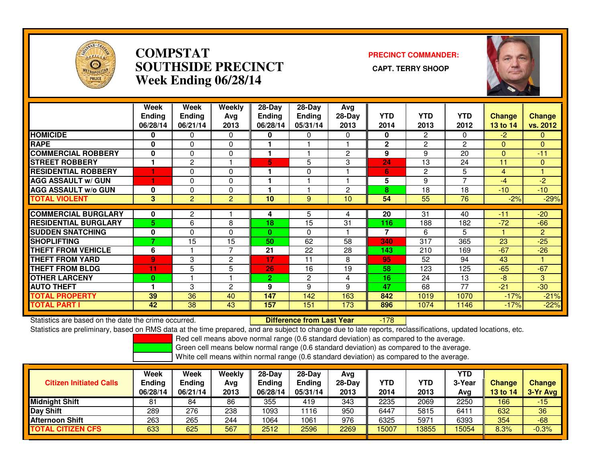

#### **COMPSTAT PRECINCT COMMANDER: SOUTHSIDE PRECINCT CAPT. TERRY SHOOPWeek Ending 06/28/14**



|                             | Week<br><b>Ending</b><br>06/28/14 | <b>Week</b><br><b>Ending</b><br>06/21/14 | Weekly<br>Avg<br>2013 | $28$ -Day<br><b>Ending</b><br>06/28/14 | $28-Day$<br>Ending<br>05/31/14 | Avg<br>28-Day<br>2013 | <b>YTD</b><br>2014 | <b>YTD</b><br>2013 | <b>YTD</b><br>2012 | <b>Change</b><br>13 to 14 | <b>Change</b><br>vs. 2012 |
|-----------------------------|-----------------------------------|------------------------------------------|-----------------------|----------------------------------------|--------------------------------|-----------------------|--------------------|--------------------|--------------------|---------------------------|---------------------------|
| <b>HOMICIDE</b>             | 0                                 | 0                                        | $\Omega$              | 0                                      | 0                              | 0                     | 0                  | 2                  | 0                  | $-2$                      | $\Omega$                  |
| <b>RAPE</b>                 | 0                                 | 0                                        | 0                     |                                        |                                |                       | $\mathbf{2}$       | 2                  | $\overline{c}$     | $\mathbf{0}$              | $\Omega$                  |
| <b>COMMERCIAL ROBBERY</b>   | 0                                 | 0                                        | $\mathbf{0}$          | 1                                      |                                | $\overline{c}$        | 9                  | 9                  | 20                 | $\Omega$                  | $-11$                     |
| <b>STREET ROBBERY</b>       |                                   | $\overline{c}$                           |                       | 5                                      | 5                              | 3                     | 24                 | 13                 | 24                 | 11                        | $\Omega$                  |
| <b>RESIDENTIAL ROBBERY</b>  |                                   | 0                                        | $\Omega$              |                                        | 0                              |                       | 6                  | 2                  | 5                  | 4                         |                           |
| <b>AGG ASSAULT w/ GUN</b>   |                                   | $\Omega$                                 | 0                     |                                        |                                |                       | 5                  | 9                  | 7                  | -4                        | -2                        |
| <b>AGG ASSAULT w/o GUN</b>  | 0                                 | 0                                        | 0                     |                                        |                                | 2                     | 8                  | 18                 | 18                 | $-10^{-}$                 | $-10$                     |
| <b>TOTAL VIOLENT</b>        | 3                                 | $\overline{2}$                           | 2                     | 10                                     | 9                              | 10                    | 54                 | 55                 | 76                 | $-2%$                     | $-29%$                    |
|                             |                                   |                                          |                       |                                        |                                |                       |                    |                    |                    |                           |                           |
| <b>COMMERCIAL BURGLARY</b>  | 0                                 | 2                                        |                       | 4                                      | 5                              | 4                     | 20                 | 31                 | 40                 | $-11$                     | $-20$                     |
| <b>RESIDENTIAL BURGLARY</b> | 5                                 | 6                                        | 8                     | 18                                     | 15                             | 31                    | 116                | 188                | 182                | $-72$                     | $-66$                     |
| <b>SUDDEN SNATCHING</b>     | 0                                 | $\Omega$                                 | $\Omega$              | $\mathbf{0}$                           | 0                              |                       | 7                  | 6                  | 5                  |                           | $\overline{2}$            |
| <b>ISHOPLIFTING</b>         | 7                                 | 15                                       | 15                    | 50                                     | 62                             | 58                    | 340                | 317                | 365                | 23                        | $-25$                     |
| <b>THEFT FROM VEHICLE</b>   | 6                                 |                                          | $\overline{7}$        | 21                                     | 22                             | 28                    | 143                | 210                | 169                | $-67$                     | $-26$                     |
| <b>THEFT FROM YARD</b>      | $\overline{9}$                    | 3                                        | $\overline{c}$        | 17                                     | 11                             | 8                     | 95                 | 52                 | 94                 | 43                        |                           |
| THEFT FROM BLDG             | 11                                | 5                                        | 5                     | 26                                     | 16                             | 19                    | 58                 | 123                | 125                | $-65$                     | $-67$                     |
| <b>OTHER LARCENY</b>        | $\bf{0}$                          |                                          |                       | $\mathbf{2}$                           | $\overline{2}$                 | 4                     | 16                 | 24                 | 13                 | -8                        | 3                         |
| <b>AUTO THEFT</b>           |                                   | 3                                        | $\overline{c}$        | 9                                      | 9                              | 9                     | 47                 | 68                 | 77                 | $-21$                     | $-30$                     |
| <b>TOTAL PROPERTY</b>       | 39                                | 36                                       | 40                    | 147                                    | 142                            | 163                   | 842                | 1019               | 1070               | $-17%$                    | $-21%$                    |
| <b>TOTAL PART I</b>         | 42                                | 38                                       | 43                    | 157                                    | 151                            | 173                   | 896                | 1074               | 1146               | $-17%$                    | $-22%$                    |

Statistics are based on the date the crime occurred. **Difference from Last Year** 

-178

Statistics are preliminary, based on RMS data at the time prepared, and are subject to change due to late reports, reclassifications, updated locations, etc.

Red cell means above normal range (0.6 standard deviation) as compared to the average.

Green cell means below normal range (0.6 standard deviation) as compared to the average.

| <b>Citizen Initiated Calls</b> | Week<br><b>Ending</b><br>06/28/14 | Week<br><b>Ending</b><br>06/21/14 | Weekly<br>Avg<br>2013 | $28-Day$<br><b>Ending</b><br>06/28/14 | $28$ -Day<br><b>Ending</b><br>05/31/14 | Avg<br>$28-Dav$<br>2013 | YTD<br>2014 | YTD<br>2013 | YTD<br>3-Year<br>Avg | <b>Change</b><br>13 to 14 | <b>Change</b><br>3-Yr Avg |
|--------------------------------|-----------------------------------|-----------------------------------|-----------------------|---------------------------------------|----------------------------------------|-------------------------|-------------|-------------|----------------------|---------------------------|---------------------------|
| <b>Midnight Shift</b>          | 81                                | 84                                | 86                    | 355                                   | 419                                    | 343                     | 2235        | 2069        | 2250                 | 166                       | $-15$                     |
| <b>Day Shift</b>               | 289                               | 276                               | 238                   | 1093                                  | 116                                    | 950                     | 6447        | 5815        | 6411                 | 632                       | 36                        |
| <b>Afternoon Shift</b>         | 263                               | 265                               | 244                   | 1064                                  | 1061                                   | 976                     | 6325        | 5971        | 6393                 | 354                       | $-68$                     |
| <b>TOTAL CITIZEN CFS</b>       | 633                               | 625                               | 567                   | 2512                                  | 2596                                   | 2269                    | 15007       | 13855       | 15054                | 8.3%                      | $-0.3%$                   |